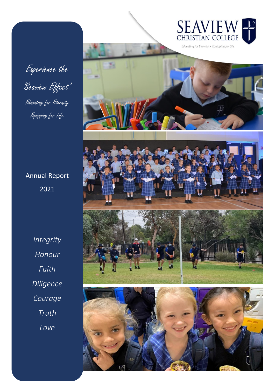

Experience the 'Seaview Effect' Educating for Eternity Equipping for Life

Annual Report 2021

wee *Diliaence* and Worship Courage Living lessons *Courage*  $Truth$ start the day with a *Truth Love Integrity Honour Faith Diligence*

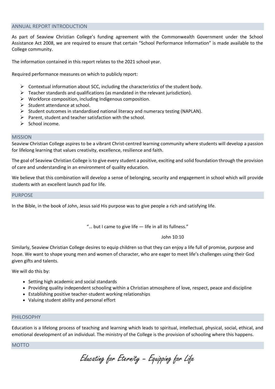#### ANNUAL REPORT INTRODUCTION

As part of Seaview Christian College's funding agreement with the Commonwealth Government under the School Assistance Act 2008, we are required to ensure that certain "School Performance Information" is made available to the College community.

The information contained in this report relates to the 2021 school year.

Required performance measures on which to publicly report:

- $\triangleright$  Contextual information about SCC, including the characteristics of the student body.
- $\triangleright$  Teacher standards and qualifications (as mandated in the relevant jurisdiction).
- ➢ Workforce composition, including Indigenous composition.
- ➢ Student attendance at school.
- $\triangleright$  Student outcomes in standardised national literacy and numeracy testing (NAPLAN).
- ➢ Parent, student and teacher satisfaction with the school.
- ➢ School income.

#### MISSION

Seaview Christian College aspires to be a vibrant Christ-centred learning community where students will develop a passion for lifelong learning that values creativity, excellence, resilience and faith.

The goal of Seaview Christian College is to give every student a positive, exciting and solid foundation through the provision of care and understanding in an environment of quality education.

We believe that this combination will develop a sense of belonging, security and engagement in school which will provide students with an excellent launch pad for life.

PURPOSE

In the Bible, in the book of John, Jesus said His purpose was to give people a rich and satisfying life.

"... but I came to give life – life in all its fullness."

John 10:10

Similarly, Seaview Christian College desires to equip children so that they can enjoy a life full of promise, purpose and hope. We want to shape young men and women of character, who are eager to meet life's challenges using their God given gifts and talents.

We will do this by:

- Setting high academic and social standards
- Providing quality independent schooling within a Christian atmosphere of love, respect, peace and discipline
- Establishing positive teacher-student working relationships
- Valuing student ability and personal effort

## PHILOSOPHY

Education is a lifelong process of teaching and learning which leads to spiritual, intellectual, physical, social, ethical, and emotional development of an individual. The ministry of the College is the provision of schooling where this happens.

## **MOTTO**

Educating for Eternity – Equipping for Life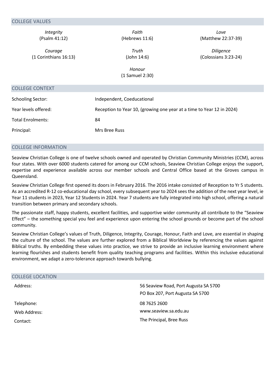| Integrity                | Faith                                                                 | Love                 |
|--------------------------|-----------------------------------------------------------------------|----------------------|
| (Psalm 41:12)            | (Hebrews 11:6)                                                        | (Matthew 22:37-39)   |
| Courage                  | Truth                                                                 | <b>Diligence</b>     |
| (1 Corinthians 16:13)    | (John 14:6)                                                           | (Colossians 3:23-24) |
|                          | Honour                                                                |                      |
|                          | (1 Samuel 2:30)                                                       |                      |
| <b>COLLEGE CONTEXT</b>   |                                                                       |                      |
| <b>Schooling Sector:</b> | Independent, Coeducational                                            |                      |
| Year levels offered:     | Reception to Year 10, (growing one year at a time to Year 12 in 2024) |                      |
| <b>Total Enrolments:</b> | 84                                                                    |                      |
| Principal:               | Mrs Bree Russ                                                         |                      |
|                          |                                                                       |                      |

# COLLEGE INFORMATION

Seaview Christian College is one of twelve schools owned and operated by Christian Community Ministries (CCM), across four states. With over 6000 students catered for among our CCM schools, Seaview Christian College enjoys the support, expertise and experience available across our member schools and Central Office based at the Groves campus in Queensland.

Seaview Christian College first opened its doors in February 2016. The 2016 intake consisted of Reception to Yr 5 students. As an accredited R-12 co-educational day school, every subsequent year to 2024 sees the addition of the next year level, ie Year 11 students in 2023, Year 12 Students in 2024. Year 7 students are fully integrated into high school, offering a natural transition between primary and secondary schools.

The passionate staff, happy students, excellent facilities, and supportive wider community all contribute to the "Seaview Effect" – the something special you feel and experience upon entering the school grounds or become part of the school community.

Seaview Christian College's values of Truth, Diligence, Integrity, Courage, Honour, Faith and Love, are essential in shaping the culture of the school. The values are further explored from a Biblical Worldview by referencing the values against Biblical truths. By embedding these values into practice, we strive to provide an inclusive learning environment where learning flourishes and students benefit from quality teaching programs and facilities. Within this inclusive educational environment, we adapt a zero-tolerance approach towards bullying.

| 56 Seaview Road, Port Augusta SA 5700 |
|---------------------------------------|
| PO Box 207, Port Augusta SA 5700      |
| 08 7625 2600                          |
| www.seaview.sa.edu.au                 |
| The Principal, Bree Russ              |
|                                       |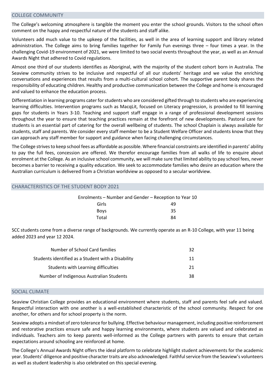#### COLLEGE COMMUNITY

The College's welcoming atmosphere is tangible the moment you enter the school grounds. Visitors to the school often comment on the happy and respectful nature of the students and staff alike.

Volunteers add much value to the upkeep of the facilities, as well in the area of learning support and library related administration. The College aims to bring families together for Family Fun evenings three – four times a year. In the challenging Covid-19 environment of 2021, we were limited to two social events throughout the year, as well as an Annual Awards Night that adhered to Covid regulations.

Almost one third of our students identifies as Aboriginal, with the majority of the student cohort born in Australia. The Seaview community strives to be inclusive and respectful of all our students' heritage and we value the enriching conversations and experiences that results from a multi-cultural school cohort. The supportive parent body shares the responsibility of educating children. Healthy and productive communication between the College and home is encouraged and valued to enhance the education process.

Differentiation in learning programs cater for students who are considered gifted through to students who are experiencing learning difficulties. Intervention programs such as MacqLit, focused on Literacy progression, is provided to fill learning gaps for students in Years 3-10. Teaching and support staff engage in a range of professional development sessions throughout the year to ensure that teaching practices remain at the forefront of new developments. Pastoral care for students is an essential part of catering for the overall wellbeing of students. The school Chaplain is always available for students, staff and parents. We consider every staff member to be a Student Welfare Officer and students know that they can approach any staff member for support and guidance when facing challenging circumstances.

The College strives to keep school fees as affordable as possible. Where financial constraints are identified in parents' ability to pay the full fees, concession are offered. We therefor encourage families from all walks of life to enquire about enrolment at the College. As an inclusive school community, we will make sure that limited ability to pay school fees, never becomes a barrier to receiving a quality education. We seek to accommodate families who desire an education where the Australian curriculum is delivered from a Christian worldview as opposed to a secular worldview.

# CHARACTERISTICS OF THE STUDENT BODY 2021

| Enrolments - Number and Gender - Reception to Year 10 |    |  |  |
|-------------------------------------------------------|----|--|--|
| Girls                                                 | 49 |  |  |
| <b>Boys</b>                                           | 35 |  |  |
| Total                                                 | 84 |  |  |

SCC students come from a diverse range of backgrounds. We currently operate as an R-10 College, with year 11 being added 2023 and year 12 2024.

| Number of School Card families                     | 32 |
|----------------------------------------------------|----|
| Students identified as a Student with a Disability | 11 |
| Students with Learning difficulties                | 21 |
| Number of Indigenous Australian Students           | 38 |

#### SOCIAL CLIMATE

Seaview Christian College provides an educational environment where students, staff and parents feel safe and valued. Respectful interaction with one another is a well-established characteristic of the school community. Respect for one another, for others and for school property is the norm.

Seaview adopts a mindset of zero tolerance for bullying. Effective behaviour management, including positive reinforcement and restorative practices ensure safe and happy learning environments, where students are valued and celebrated as individuals. Teachers aim to keep parents well-informed as the College partners with parents to ensure that certain expectations around schooling are reinforced at home.

The College's Annual Awards Night offers the ideal platform to celebrate highlight student achievements for the academic year. Students' diligence and positive character traits are also acknowledged. Faithful service from the Seaview's volunteers as well as student leadership is also celebrated on this special evening.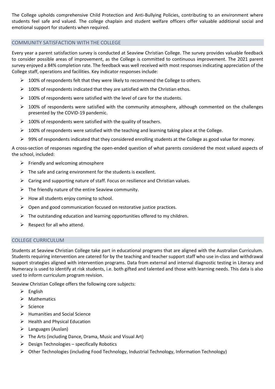The College upholds comprehensive Child Protection and Anti-Bullying Policies, contributing to an environment where students feel safe and valued. The college chaplain and student welfare officers offer valuable additional social and emotional support for students when required.

## COMMUNITY SATISFACTION WITH THE COLLEGE

Every year a parent satisfaction survey is conducted at Seaview Christian College. The survey provides valuable feedback to consider possible areas of improvement, as the College is committed to continuous improvement. The 2021 parent survey enjoyed a 84% completion rate. The feedback was well received with most responses indicating appreciation of the College staff, operations and facilities. Key indicator responses include:

- $\triangleright$  100% of respondents felt that they were likely to recommend the College to others.
- $\triangleright$  100% of respondents indicated that they are satisfied with the Christian ethos.
- $\triangleright$  100% of respondents were satisfied with the level of care for the students.
- $\triangleright$  100% of respondents were satisfied with the community atmosphere, although commented on the challenges presented by the COVID-19 pandemic.
- $\geq 100\%$  of respondents were satisfied with the quality of teachers.
- $\triangleright$  100% of respondents were satisfied with the teaching and learning taking place at the College.
- ➢ 99% of respondents indicated that they considered enrolling students at the College as good value for money.

A cross-section of responses regarding the open-ended question of what parents considered the most valued aspects of the school, included:

- $\triangleright$  Friendly and welcoming atmosphere
- $\triangleright$  The safe and caring environment for the students is excellent.
- ➢ Caring and supporting nature of staff. Focus on resilience and Christian values.
- $\triangleright$  The friendly nature of the entire Seaview community.
- $\triangleright$  How all students enjoy coming to school.
- ➢ Open and good communication focused on restorative justice practices.
- $\triangleright$  The outstanding education and learning opportunities offered to my children.
- $\triangleright$  Respect for all who attend.

## COLLEGE CURRICULUM

Students at Seaview Christian College take part in educational programs that are aligned with the Australian Curriculum. Students requiring intervention are catered for by the teaching and teacher support staff who use in-class and withdrawal support strategies aligned with intervention programs. Data from external and internal diagnostic testing in Literacy and Numeracy is used to identify at risk students, i.e. both gifted and talented and those with learning needs. This data is also used to inform curriculum program revision.

Seaview Christian College offers the following core subjects:

- ➢ English
- ➢ Mathematics
- ➢ Science
- ➢ Humanities and Social Science
- $\triangleright$  Health and Physical Education
- ➢ Languages (Auslan)
- $\triangleright$  The Arts (including Dance, Drama, Music and Visual Art)
- $\triangleright$  Design Technologies specifically Robotics
- ➢ Other Technologies (including Food Technology, Industrial Technology, Information Technology)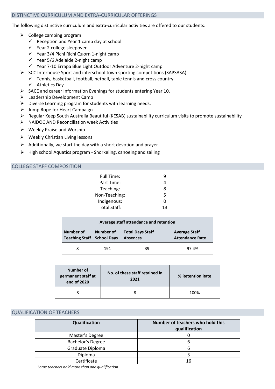## DISTINCTIVE CURRICULUM AND EXTRA-CURRICULAR OFFERINGS

The following distinctive curriculum and extra-curricular activities are offered to our students:

- $\triangleright$  College camping program
	- $\checkmark$  Reception and Year 1 camp day at school
	- ✓ Year 2 college sleepover
	- ✓ Year 3/4 Pichi Richi Quorn 1-night camp
	- ✓ Year 5/6 Adelaide 2-night camp
	- ✓ Year 7-10 Errapa Blue Light Outdoor Adventure 2-night camp
- ➢ SCC Interhouse Sport and interschool town sporting competitions (SAPSASA).
- $\checkmark$  Tennis, basketball, football, netball, table tennis and cross country
	- ✓ Athletics Day
- ➢ SACE and career Information Evenings for students entering Year 10.
- ➢ Leadership Development Camp
- $\triangleright$  Diverse Learning program for students with learning needs.
- $\triangleright$  Jump Rope for Heart Campaign
- ➢ Regular Keep South Australia Beautiful (KESAB) sustainability curriculum visits to promote sustainability
- ➢ NAIDOC AND Reconciliation week Activities
- ➢ Weekly Praise and Worship
- ➢ Weekly Christian Living lessons
- $\triangleright$  Additionally, we start the day with a short devotion and prayer
- ➢ High school Aquatics program Snorkeling, canoeing and sailing

# COLLEGE STAFF COMPOSITION

| Full Time:    | ч  |
|---------------|----|
| Part Time:    | Δ  |
| Teaching:     | 8  |
| Non-Teaching: | 5  |
| Indigenous:   | n  |
| Total Staff:  | 13 |

|                                                  | Average staff attendance and retention |                                            |                                                |  |  |  |
|--------------------------------------------------|----------------------------------------|--------------------------------------------|------------------------------------------------|--|--|--|
| Number of<br><b>Teaching Staff   School Days</b> | Number of                              | <b>Total Days Staff</b><br><b>Absences</b> | <b>Average Staff</b><br><b>Attendance Rate</b> |  |  |  |
| 8                                                | 191                                    | 39                                         | 97.4%                                          |  |  |  |

| Number of<br>permanent staff at<br>end of 2020 | No. of these staff retained in<br>2021 | % Retention Rate |  |
|------------------------------------------------|----------------------------------------|------------------|--|
| 8                                              |                                        | 100%             |  |

# QUALIFICATION OF TEACHERS

| Qualification     | Number of teachers who hold this<br>qualification |
|-------------------|---------------------------------------------------|
| Master's Degree   |                                                   |
| Bachelor's Degree |                                                   |
| Graduate Diploma  |                                                   |
| Diploma           |                                                   |
| Certificate       | 16                                                |

*Some teachers hold more than one qualification*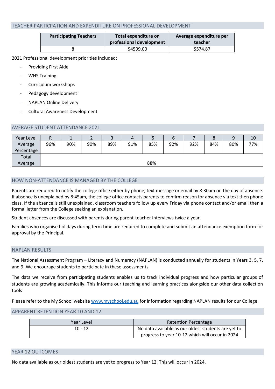# TEACHER PARTICPATION AND EXPENDITURE ON PROFESSIONAL DEVELOPMENT

| <b>Participating Teachers</b> | Total expenditure on<br>professional development | Average expenditure per<br>teacher |
|-------------------------------|--------------------------------------------------|------------------------------------|
|                               | \$4599.00                                        | \$574.87                           |

2021 Professional development priorities included:

- Providing First Aide
- WHS Training
- Curriculum workshops
- Pedagogy development
- NAPLAN Online Delivery
- Cultural Awareness Development

# AVERAGE STUDENT ATTENDANCE 2021

| Year Level | n   |     |     |     | 4   |     | o   |     | ٥   |     | 10  |
|------------|-----|-----|-----|-----|-----|-----|-----|-----|-----|-----|-----|
| Average    | 96% | 90% | 90% | 89% | 91% | 85% | 92% | 92% | 84% | 80% | 77% |
| Percentage |     |     |     |     |     |     |     |     |     |     |     |
| Total      |     |     |     |     |     |     |     |     |     |     |     |
| Average    |     |     |     |     |     | 88% |     |     |     |     |     |

# HOW NON-ATTENDANCE IS MANAGED BY THE COLLEGE

Parents are required to notify the college office either by phone, text message or email by 8:30am on the day of absence. If absence is unexplained by 8:45am, the college office contacts parents to confirm reason for absence via text then phone class. If the absence is still unexplained, classroom teachers follow up every Friday via phone contact and/or email then a formal letter from the College seeking an explanation.

Student absences are discussed with parents during parent-teacher interviews twice a year.

Families who organise holidays during term time are required to complete and submit an attendance exemption form for approval by the Principal.

## NAPLAN RESULTS

The National Assessment Program – Literacy and Numeracy (NAPLAN) is conducted annually for students in Years 3, 5, 7, and 9. We encourage students to participate in these assessments.

The data we receive from participating students enables us to track individual progress and how particular groups of students are growing academically. This informs our teaching and learning practices alongside our other data collection tools

Please refer to the My School website [www.myschool.edu.au](http://www.myschool.edu.au/) for information regarding NAPLAN results for our College.

## APPARENT RETENTION YEAR 10 AND 12

| Year Level | <b>Retention Percentage</b>                         |
|------------|-----------------------------------------------------|
| $10 - 12$  | No data available as our oldest students are yet to |
|            | progress to year 10-12 which will occur in 2024     |

## YEAR 12 OUTCOMES

No data available as our oldest students are yet to progress to Year 12. This will occur in 2024.